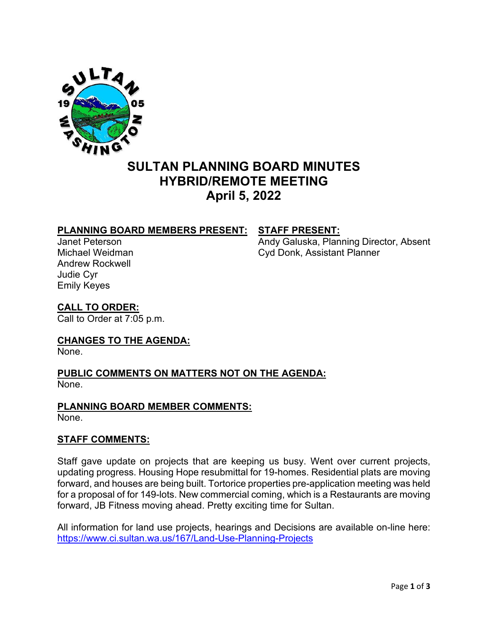

### **SULTAN PLANNING BOARD MINUTES HYBRID/REMOTE MEETING April 5, 2022**

# **PLANNING BOARD MEMBERS PRESENT: STAFF PRESENT:**

Andrew Rockwell Judie Cyr Emily Keyes

Andy Galuska, Planning Director, Absent Michael Weidman Cyd Donk, Assistant Planner

## **CALL TO ORDER:**

Call to Order at 7:05 p.m.

#### **CHANGES TO THE AGENDA:**

None.

#### **PUBLIC COMMENTS ON MATTERS NOT ON THE AGENDA:**  None.

#### **PLANNING BOARD MEMBER COMMENTS:**

None.

#### **STAFF COMMENTS:**

Staff gave update on projects that are keeping us busy. Went over current projects, updating progress. Housing Hope resubmittal for 19-homes. Residential plats are moving forward, and houses are being built. Tortorice properties pre-application meeting was held for a proposal of for 149-lots. New commercial coming, which is a Restaurants are moving forward, JB Fitness moving ahead. Pretty exciting time for Sultan.

All information for land use projects, hearings and Decisions are available on-line here: <https://www.ci.sultan.wa.us/167/Land-Use-Planning-Projects>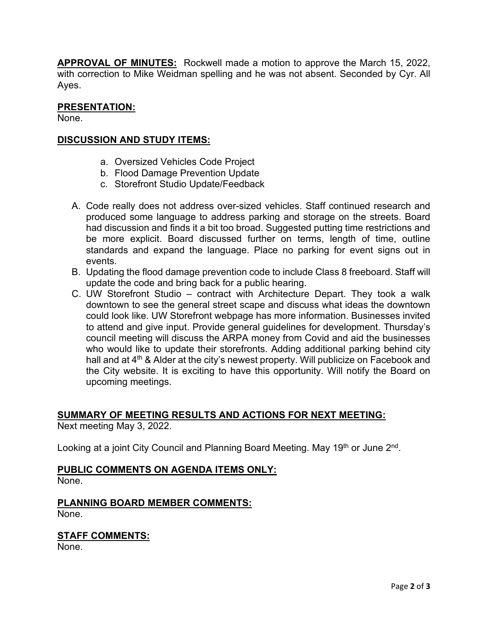**APPROVAL OF MINUTES:** Rockwell made a motion to approve the March 15, 2022, with correction to Mike Weidman spelling and he was not absent. Seconded by Cyr. All Ayes.

#### **PRESENTATION:**

None.

#### **DISCUSSION AND STUDY ITEMS:**

- a. Oversized Vehicles Code Project
- b. Flood Damage Prevention Update
- c. Storefront Studio Update/Feedback
- A. Code really does not address over-sized vehicles. Staff continued research and produced some language to address parking and storage on the streets. Board had discussion and finds it a bit too broad. Suggested putting time restrictions and be more explicit. Board discussed further on terms, length of time, outline standards and expand the language. Place no parking for event signs out in events.
- B. Updating the flood damage prevention code to include Class 8 freeboard. Staff will update the code and bring back for a public hearing.
- C. UW Storefront Studio contract with Architecture Depart. They took a walk downtown to see the general street scape and discuss what ideas the downtown could look like. UW Storefront webpage has more information. Businesses invited to attend and give input. Provide general guidelines for development. Thursday's council meeting will discuss the ARPA money from Covid and aid the businesses who would like to update their storefronts. Adding additional parking behind city hall and at 4<sup>th</sup> & Alder at the city's newest property. Will publicize on Facebook and the City website. It is exciting to have this opportunity. Will notify the Board on upcoming meetings.

#### **SUMMARY OF MEETING RESULTS AND ACTIONS FOR NEXT MEETING:**

Next meeting May 3, 2022.

Looking at a joint City Council and Planning Board Meeting. May 19<sup>th</sup> or June 2<sup>nd</sup>.

#### **PUBLIC COMMENTS ON AGENDA ITEMS ONLY:**

None.

#### **PLANNING BOARD MEMBER COMMENTS:** None.

#### **STAFF COMMENTS:**

None.